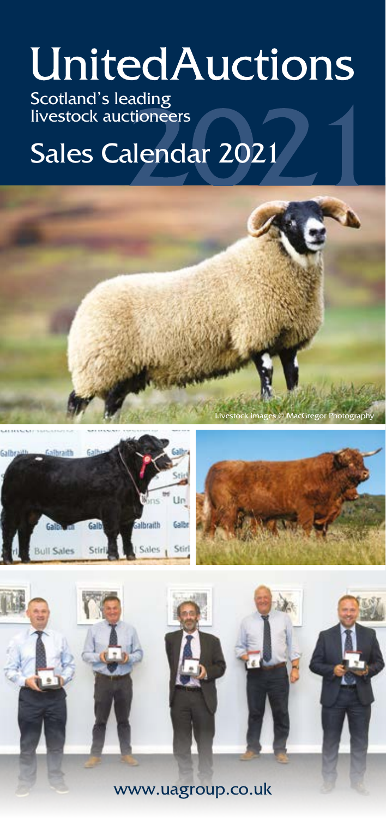# **UnitedAuctions**

Scotland's leading livestock auctioneers

# Sales Calendar 2021





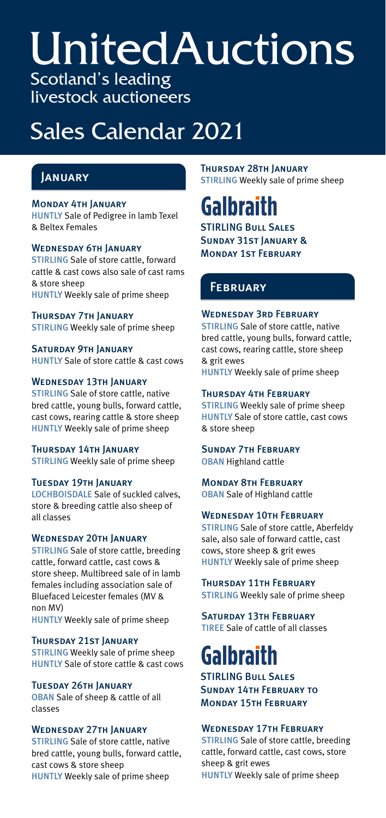# **UnitedAuctions** Scotland's leading

livestock auctioneers

# Sales Calendar 2021

#### Monday 4th January

HUNTLY Sale of Pedigree in lamb Texel & Beltex Females

#### WEDNESDAY 6TH JANUARY

STIRLING Sale of store cattle, forward cattle & cast cows also sale of cast rams & store sheep HUNTLY Weekly sale of prime sheep

Thursday 7th January STIRLING Weekly sale of prime sheep

SATURDAY 9TH JANUARY HUNTLY Sale of store cattle & cast cows

#### Wednesday 13th January

STIRLING Sale of store cattle, native bred cattle, young bulls, forward cattle, cast cows, rearing cattle & store sheep HUNTLY Weekly sale of prime sheep

#### **THURSDAY 14TH JANUARY**

STIRLING Weekly sale of prime sheep

#### **TUESDAY 19TH JANUARY**

LOCHBOISDALE Sale of suckled calves, store & breeding cattle also sheep of all classes

#### Wednesday 20th January

STIRLING Sale of store cattle, breeding cattle, forward cattle, cast cows & store sheep. Multibreed sale of in lamb females including association sale of Bluefaced Leicester females (MV & non MV)

HUNTLY Weekly sale of prime sheep

#### Thursday 21st January

STIRLING Weekly sale of prime sheep HUNTLY Sale of store cattle & cast cows

#### Tuesday 26th January

OBAN Sale of sheep & cattle of all classes

#### Wednesday 27th January

STIRLING Sale of store cattle, native bred cattle, young bulls, forward cattle, cast cows & store sheep HUNTLY Weekly sale of prime sheep

**JANUARY** THURSDAY 28TH JANUARY<br>STIRLING Weekly sale of prime sheep

# **Galbraith**

STIRLING Bull Sales Sunday 31st January & Monday 1st February

# **FEBRUARY**

#### Wednesday 3rd February

STIRLING Sale of store cattle, native bred cattle, young bulls, forward cattle, cast cows, rearing cattle, store sheep & grit ewes

HUNTLY Weekly sale of prime sheep

#### Thursday 4th February

STIRLING Weekly sale of prime sheep HUNTLY Sale of store cattle, cast cows & store sheep

#### Sunday 7th February OBAN Highland cattle

Monday 8th February OBAN Sale of Highland cattle

#### WEDNESDAY 10TH FEBRUARY

STIRLING Sale of store cattle, Aberfeldy sale, also sale of forward cattle, cast cows, store sheep & grit ewes HUNTLY Weekly sale of prime sheep

Thursday 11th February

STIRLING Weekly sale of prime sheep

Saturday 13th February TIREE Sale of cattle of all classes

# Galbraith

STIRLING Bull Sales Sunday 14th February to Monday 15th February

#### WEDNESDAY 17TH FEBRUARY

STIRLING Sale of store cattle, breeding cattle, forward cattle, cast cows, store sheep & grit ewes HUNTLY Weekly sale of prime sheep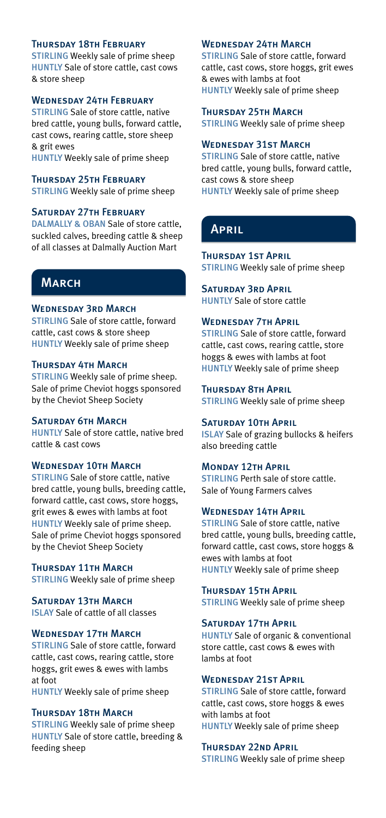#### Thursday 18th February

STIRLING Weekly sale of prime sheep HUNTLY Sale of store cattle, cast cows & store sheep

#### Wednesday 24th February

STIRLING Sale of store cattle, native bred cattle, young bulls, forward cattle, cast cows, rearing cattle, store sheep & grit ewes

HUNTLY Weekly sale of prime sheep

#### Thursday 25th February

STIRLING Weekly sale of prime sheep

#### Saturday 27th February

DALMALLY & OBAN Sale of store cattle. suckled calves, breeding cattle & sheep of all classes at Dalmally Auction Mart

# **MARCH**

#### WEDNESDAY 3RD MARCH

STIRLING Sale of store cattle, forward cattle, cast cows & store sheep HUNTLY Weekly sale of prime sheep

#### Thursday 4th March

STIRLING Weekly sale of prime sheep. Sale of prime Cheviot hoggs sponsored by the Cheviot Sheep Society

#### Saturday 6th March

HUNTLY Sale of store cattle, native bred cattle & cast cows

#### WEDNESDAY 10TH MARCH

STIRLING Sale of store cattle, native bred cattle, young bulls, breeding cattle, forward cattle, cast cows, store hoggs, grit ewes & ewes with lambs at foot HUNTLY Weekly sale of prime sheep. Sale of prime Cheviot hoggs sponsored by the Cheviot Sheep Society

#### **THURSDAY 11TH MARCH** STIRLING Weekly sale of prime sheep

SATURDAY 13TH MARCH ISLAY Sale of cattle of all classes

#### Wednesday 17th March

STIRLING Sale of store cattle, forward cattle, cast cows, rearing cattle, store hoggs, grit ewes & ewes with lambs at foot

HUNTLY Weekly sale of prime sheep

#### **THURSDAY 18TH MARCH**

STIRLING Weekly sale of prime sheep HUNTLY Sale of store cattle, breeding & feeding sheep

#### Wednesday 24th March

STIRLING Sale of store cattle, forward cattle, cast cows, store hoggs, grit ewes & ewes with lambs at foot HUNTLY Weekly sale of prime sheep

Thursday 25th March STIRLING Weekly sale of prime sheep

#### Wednesday 31st March

STIRLING Sale of store cattle, native bred cattle, young bulls, forward cattle, cast cows & store sheep HUNTLY Weekly sale of prime sheep

### April

# **THURSDAY 1ST APRIL**

STIRLING Weekly sale of prime sheep

### Saturday 3rd April

HUNTLY Sale of store cattle

#### Wednesday 7th April

STIRLING Sale of store cattle, forward cattle, cast cows, rearing cattle, store hoggs & ewes with lambs at foot HUNTLY Weekly sale of prime sheep

Thursday 8th April STIRLING Weekly sale of prime sheep

#### SATURDAY 10TH APRIL

ISLAY Sale of grazing bullocks & heifers also breeding cattle

#### **MONDAY 12TH APRIL**

STIRLING Perth sale of store cattle. Sale of Young Farmers calves

#### Wednesday 14th April

STIRLING Sale of store cattle, native bred cattle, young bulls, breeding cattle, forward cattle, cast cows, store hoggs & ewes with lambs at foot HUNTLY Weekly sale of prime sheep

#### **THURSDAY 15TH APRIL**

STIRLING Weekly sale of prime sheep

#### SATURDAY 17TH APRIL

HUNTLY Sale of organic & conventional store cattle, cast cows & ewes with lambs at foot

#### WEDNESDAY 21ST APRIL

STIRLING Sale of store cattle, forward cattle, cast cows, store hoggs & ewes with lambs at foot HUNTLY Weekly sale of prime sheep

#### Thursday 22nd April

STIRLING Weekly sale of prime sheep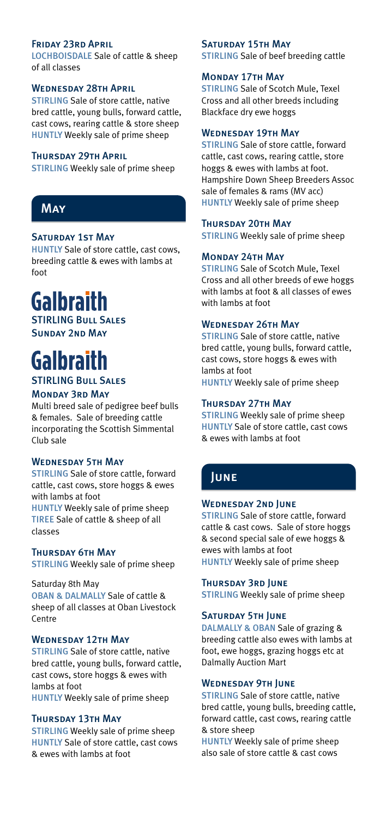#### Friday 23rd April

LOCHBOISDALE Sale of cattle & sheep of all classes

#### Wednesday 28th April

STIRLING Sale of store cattle, native bred cattle, young bulls, forward cattle, cast cows, rearing cattle & store sheep HUNTLY Weekly sale of prime sheep

#### THURSDAY 29TH APRIL

STIRLING Weekly sale of prime sheep

# **MAY**

#### Saturday 1st May

HUNTLY Sale of store cattle, cast cows, breeding cattle & ewes with lambs at foot

# **Galbraith**

STIRLING Bull Sales Sunday 2nd May

# **Galbraith**

STIRLING Bull Sales

#### Monday 3rd May

Multi breed sale of pedigree beef bulls & females. Sale of breeding cattle incorporating the Scottish Simmental Club sale

#### Wednesday 5th May

STIRLING Sale of store cattle, forward cattle, cast cows, store hoggs & ewes with lambs at foot HUNTLY Weekly sale of prime sheep TIREE Sale of cattle & sheep of all

classes

#### **THURSDAY 6TH MAY**

STIRLING Weekly sale of prime sheep

#### Saturday 8th May

OBAN & DALMALLY Sale of cattle & sheep of all classes at Oban Livestock Centre

#### WEDNESDAY 12TH MAY

STIRLING Sale of store cattle, native bred cattle, young bulls, forward cattle, cast cows, store hoggs & ewes with lambs at foot HUNTLY Weekly sale of prime sheep

#### **THURSDAY 13TH MAY**

STIRLING Weekly sale of prime sheep HUNTLY Sale of store cattle, cast cows & ewes with lambs at foot

#### SATURDAY 15TH MAY

STIRLING Sale of beef breeding cattle

#### Monday 17th May

STIRLING Sale of Scotch Mule, Texel Cross and all other breeds including Blackface dry ewe hoggs

#### WEDNESDAY 19TH MAY

STIRLING Sale of store cattle, forward cattle, cast cows, rearing cattle, store hoggs & ewes with lambs at foot. Hampshire Down Sheep Breeders Assoc sale of females & rams (MV acc) HUNTLY Weekly sale of prime sheep

#### THURSDAY 20TH MAY

STIRLING Weekly sale of prime sheep

#### Monday 24th May

STIRLING Sale of Scotch Mule, Texel Cross and all other breeds of ewe hoggs with lambs at foot & all classes of ewes with lambs at foot

#### WEDNESDAY 26TH MAY

STIRLING Sale of store cattle, native bred cattle, young bulls, forward cattle, cast cows, store hoggs & ewes with lambs at foot HUNTLY Weekly sale of prime sheep

#### Thursday 27th May

STIRLING Weekly sale of prime sheep HUNTLY Sale of store cattle, cast cows & ewes with lambs at foot

### June

#### WEDNESDAY 2ND JUNE

STIRLING Sale of store cattle, forward cattle & cast cows. Sale of store hoggs & second special sale of ewe hoggs & ewes with lambs at foot HUNTLY Weekly sale of prime sheep

#### Thursday 3rd June

STIRLING Weekly sale of prime sheep

#### SATURDAY 5TH JUNE

DALMALLY & OBAN Sale of grazing & breeding cattle also ewes with lambs at foot, ewe hoggs, grazing hoggs etc at Dalmally Auction Mart

#### WEDNESDAY 9TH JUNE

STIRLING Sale of store cattle, native bred cattle, young bulls, breeding cattle, forward cattle, cast cows, rearing cattle & store sheep

HUNTLY Weekly sale of prime sheep also sale of store cattle & cast cows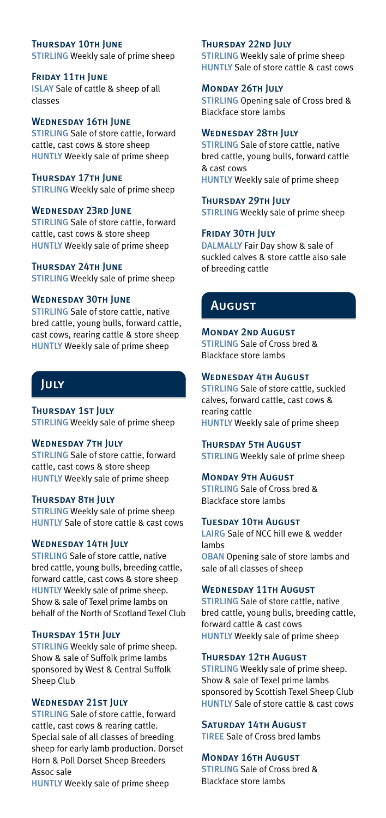# **THURSDAY 10TH JUNE**

STIRLING Weekly sale of prime sheep

#### **FRIDAY 11TH JUNE** ISLAY Sale of cattle & sheep of all classes

#### WEDNESDAY 16TH JUNE

STIRLING Sale of store cattle, forward cattle, cast cows & store sheep HUNTLY Weekly sale of prime sheep

#### **THURSDAY 17TH JUNE**

STIRLING Weekly sale of prime sheep

#### Wednesday 23rd June

STIRLING Sale of store cattle, forward cattle, cast cows & store sheep HUNTLY Weekly sale of prime sheep

#### Thursday 24th June

STIRLING Weekly sale of prime sheep

#### WEDNESDAY 30TH JUNE

STIRLING Sale of store cattle, native bred cattle, young bulls, forward cattle, cast cows, rearing cattle & store sheep HUNTLY Weekly sale of prime sheep

### July

**THURSDAY 1ST JULY** STIRLING Weekly sale of prime sheep

#### WEDNESDAY 7TH JULY

STIRLING Sale of store cattle, forward cattle, cast cows & store sheep HUNTLY Weekly sale of prime sheep

#### **THURSDAY 8TH JULY**

STIRLING Weekly sale of prime sheep HUNTLY Sale of store cattle & cast cows

#### WEDNESDAY 14TH JULY

STIRLING Sale of store cattle, native bred cattle, young bulls, breeding cattle, forward cattle, cast cows & store sheep HUNTLY Weekly sale of prime sheep. Show & sale of Texel prime lambs on behalf of the North of Scotland Texel Club

#### **THURSDAY 15TH JULY**

STIRLING Weekly sale of prime sheep. Show & sale of Suffolk prime lambs sponsored by West & Central Suffolk Sheep Club

#### WEDNESDAY 21ST JULY

STIRLING Sale of store cattle, forward cattle, cast cows & rearing cattle. Special sale of all classes of breeding sheep for early lamb production. Dorset Horn & Poll Dorset Sheep Breeders Assoc sale

HUNTLY Weekly sale of prime sheep

#### **THURSDAY 22ND JULY**

STIRLING Weekly sale of prime sheep HUNTLY Sale of store cattle & cast cows

#### Monday 26th July

STIRLING Opening sale of Cross bred & Blackface store lambs

#### WEDNESDAY 28TH JULY

STIRLING Sale of store cattle, native bred cattle, young bulls, forward cattle & cast cows HUNTLY Weekly sale of prime sheep

#### **THURSDAY 29TH JULY**

STIRLING Weekly sale of prime sheep

#### FRIDAY 30TH JULY

DALMALLY Fair Day show & sale of suckled calves & store cattle also sale of breeding cattle

# **August**

#### **MONDAY 2ND AUGUST**

STIRLING Sale of Cross bred & Blackface store lambs

#### WEDNESDAY 4TH AUGUST

STIRLING Sale of store cattle, suckled calves, forward cattle, cast cows & rearing cattle HUNTLY Weekly sale of prime sheep

**THURSDAY 5TH AUGUST** STIRLING Weekly sale of prime sheep

#### **MONDAY 9TH AUGUST**

STIRLING Sale of Cross bred & Blackface store lambs

#### **TUESDAY 10TH AUGUST**

LAIRG Sale of NCC hill ewe & wedder lambs OBAN Opening sale of store lambs and sale of all classes of sheep

#### WEDNESDAY 11TH AUGUST

STIRLING Sale of store cattle, native bred cattle, young bulls, breeding cattle, forward cattle & cast cows HUNTLY Weekly sale of prime sheep

#### **THURSDAY 12TH AUGUST**

STIRLING Weekly sale of prime sheep. Show & sale of Texel prime lambs sponsored by Scottish Texel Sheep Club HUNTLY Sale of store cattle & cast cows

#### SATURDAY 14TH AUGUST

TIREE Sale of Cross bred lambs

#### **MONDAY 16TH AUGUST**

STIRLING Sale of Cross bred & Blackface store lambs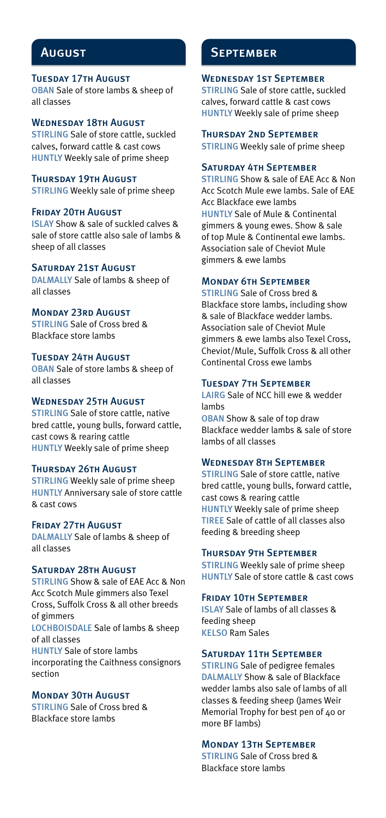#### **TUESDAY 17TH AUGUST**

OBAN Sale of store lambs & sheep of all classes

#### WEDNESDAY 18TH AUGUST

STIRLING Sale of store cattle, suckled calves, forward cattle & cast cows HUNTLY Weekly sale of prime sheep

#### **THURSDAY 19TH AUGUST**

STIRLING Weekly sale of prime sheep

#### **FRIDAY 20TH AUGUST**

ISLAY Show & sale of suckled calves & sale of store cattle also sale of lambs & sheep of all classes

#### SATURDAY 21ST AUGUST

DALMALLY Sale of lambs & sheep of all classes

#### Monday 23rd August

STIRLING Sale of Cross bred & Blackface store lambs

#### Tuesday 24th August

OBAN Sale of store lambs & sheep of all classes

#### Wednesday 25th August

STIRLING Sale of store cattle, native bred cattle, young bulls, forward cattle, cast cows & rearing cattle HUNTLY Weekly sale of prime sheep

#### **THURSDAY 26TH AUGUST**

STIRLING Weekly sale of prime sheep HUNTLY Anniversary sale of store cattle & cast cows

#### **FRIDAY 27TH AUGUST**

DALMALLY Sale of lambs & sheep of all classes

#### SATURDAY 28TH AUGUST

STIRLING Show & sale of EAE Acc & Non Acc Scotch Mule gimmers also Texel Cross, Suffolk Cross & all other breeds of gimmers LOCHBOISDALE Sale of lambs & sheep of all classes

HUNTLY Sale of store lambs incorporating the Caithness consignors section

#### Monday 30th August

STIRLING Sale of Cross bred & Blackface store lambs

### August September

#### Wednesday 1st September

STIRLING Sale of store cattle, suckled calves, forward cattle & cast cows HUNTLY Weekly sale of prime sheep

#### Thursday 2nd September

STIRLING Weekly sale of prime sheep

#### Saturday 4th September

STIRLING Show & sale of EAE Acc & Non Acc Scotch Mule ewe lambs. Sale of EAE Acc Blackface ewe lambs HUNTLY Sale of Mule & Continental gimmers & young ewes. Show & sale of top Mule & Continental ewe lambs. Association sale of Cheviot Mule gimmers & ewe lambs

#### Monday 6th September

STIRLING Sale of Cross bred & Blackface store lambs, including show & sale of Blackface wedder lambs. Association sale of Cheviot Mule gimmers & ewe lambs also Texel Cross, Cheviot/Mule, Suffolk Cross & all other Continental Cross ewe lambs

#### Tuesday 7th September

LAIRG Sale of NCC hill ewe & wedder lambe

OBAN Show & sale of top draw Blackface wedder lambs & sale of store lambs of all classes

#### Wednesday 8th September

STIRLING Sale of store cattle, native bred cattle, young bulls, forward cattle, cast cows & rearing cattle HUNTLY Weekly sale of prime sheep TIREE Sale of cattle of all classes also feeding & breeding sheep

#### Thursday 9th September

STIRLING Weekly sale of prime sheep HUNTLY Sale of store cattle & cast cows

#### Friday 10th September

ISLAY Sale of lambs of all classes & feeding sheep KELSO Ram Sales

#### SATURDAY 11TH SEPTEMBER

STIRLING Sale of pedigree females DALMALLY Show & sale of Blackface wedder lambs also sale of lambs of all classes & feeding sheep (James Weir Memorial Trophy for best pen of 40 or more BF lambs)

#### Monday 13th September

STIRLING Sale of Cross bred & Blackface store lambs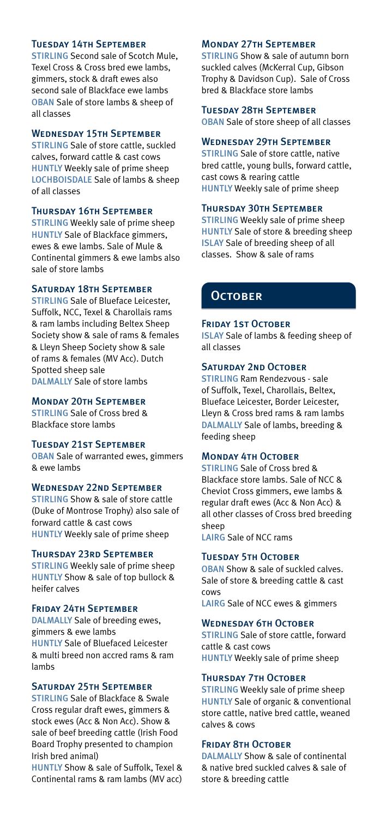#### Tuesday 14th September

STIRLING Second sale of Scotch Mule, Texel Cross & Cross bred ewe lambs, gimmers, stock & draft ewes also second sale of Blackface ewe lambs OBAN Sale of store lambs & sheep of all classes

#### Wednesday 15th September

STIRLING Sale of store cattle, suckled calves, forward cattle & cast cows HUNTLY Weekly sale of prime sheep LOCHBOISDALE Sale of lambs & sheep of all classes

#### Thursday 16th September

STIRLING Weekly sale of prime sheep HUNTLY Sale of Blackface gimmers, ewes & ewe lambs. Sale of Mule & Continental gimmers & ewe lambs also sale of store lambs

#### Saturday 18th September

STIRLING Sale of Blueface Leicester, Suffolk, NCC, Texel & Charollais rams & ram lambs including Beltex Sheep Society show & sale of rams & females & Lleyn Sheep Society show & sale of rams & females (MV Acc). Dutch Spotted sheep sale DALMALLY Sale of store lambs

#### Monday 20th September

STIRLING Sale of Cross bred & Blackface store lambs

#### Tuesday 21st September

OBAN Sale of warranted ewes, gimmers & ewe lambs

#### WEDNESDAY 22ND SEPTEMBER

STIRLING Show & sale of store cattle (Duke of Montrose Trophy) also sale of forward cattle & cast cows HUNTLY Weekly sale of prime sheep

#### Thursday 23rd September

STIRLING Weekly sale of prime sheep HUNTLY Show & sale of top bullock & heifer calves

#### Friday 24th September

DALMALLY Sale of breeding ewes, gimmers & ewe lambs HUNTLY Sale of Bluefaced Leicester & multi breed non accred rams & ram lambs

#### SATURDAY 25TH SEPTEMBER

STIRLING Sale of Blackface & Swale Cross regular draft ewes, gimmers & stock ewes (Acc & Non Acc). Show & sale of beef breeding cattle (Irish Food Board Trophy presented to champion Irish bred animal)

HUNTLY Show & sale of Suffolk, Texel & Continental rams & ram lambs (MV acc)

#### Monday 27th September

STIRLING Show & sale of autumn born suckled calves (McKerral Cup, Gibson Trophy & Davidson Cup). Sale of Cross bred & Blackface store lambs

Tuesday 28th September OBAN Sale of store sheep of all classes

#### Wednesday 29th September

STIRLING Sale of store cattle, native bred cattle, young bulls, forward cattle, cast cows & rearing cattle HUNTLY Weekly sale of prime sheep

#### Thursday 30th September

STIRLING Weekly sale of prime sheep HUNTLY Sale of store & breeding sheep ISLAY Sale of breeding sheep of all classes. Show & sale of rams

### **OCTOBER**

#### **FRIDAY 1ST OCTOBER**

ISLAY Sale of lambs & feeding sheep of all classes

#### SATURDAY 2ND OCTOBER

STIRLING Ram Rendezvous - sale of Suffolk, Texel, Charollais, Beltex, Blueface Leicester, Border Leicester, Lleyn & Cross bred rams & ram lambs DALMALLY Sale of lambs, breeding & feeding sheep

#### MONDAY **4TH OCTOBER**

STIRLING Sale of Cross bred & Blackface store lambs. Sale of NCC & Cheviot Cross gimmers, ewe lambs & regular draft ewes (Acc & Non Acc) & all other classes of Cross bred breeding sheep

LAIRG Sale of NCC rams

#### Tuesday 5th October

OBAN Show & sale of suckled calves. Sale of store & breeding cattle & cast cows

LAIRG Sale of NCC ewes & gimmers

#### WEDNESDAY 6TH OCTOBER

STIRLING Sale of store cattle, forward cattle & cast cows HUNTLY Weekly sale of prime sheep

#### **THURSDAY 7TH OCTOBER**

STIRLING Weekly sale of prime sheep HUNTLY Sale of organic & conventional store cattle, native bred cattle, weaned calves & cows

#### FRIDAY 8TH OCTOBER

DALMALLY Show & sale of continental & native bred suckled calves & sale of store & breeding cattle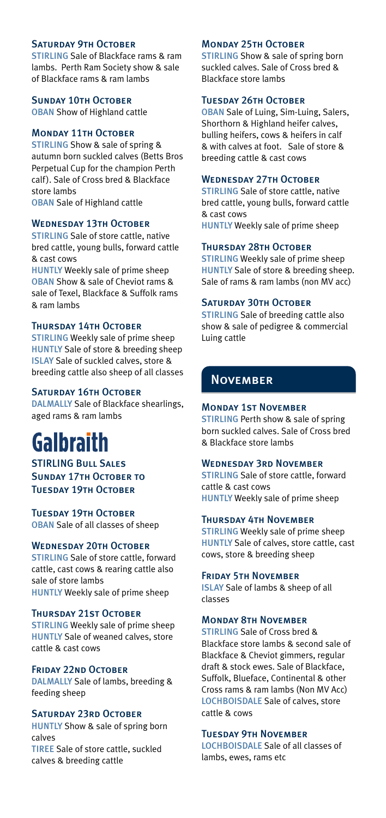#### SATURDAY 9TH OCTOBER

STIRLING Sale of Blackface rams & ram lambs. Perth Ram Society show & sale of Blackface rams & ram lambs

**SUNDAY 10TH OCTOBER** 

OBAN Show of Highland cattle

#### **MONDAY 11TH OCTOBER**

STIRLING Show & sale of spring & autumn born suckled calves (Betts Bros Perpetual Cup for the champion Perth calf). Sale of Cross bred & Blackface store lambs OBAN Sale of Highland cattle

#### WEDNESDAY 13TH OCTOBER

STIRLING Sale of store cattle, native bred cattle, young bulls, forward cattle & cast cows

HUNTLY Weekly sale of prime sheep OBAN Show & sale of Cheviot rams & sale of Texel, Blackface & Suffolk rams & ram lambs

#### Thursday 14th October

STIRLING Weekly sale of prime sheep HUNTLY Sale of store & breeding sheep ISLAY Sale of suckled calves, store & breeding cattle also sheep of all classes

#### SATURDAY 16TH OCTOBER

DALMALLY Sale of Blackface shearlings, aged rams & ram lambs

# **Galbraith**

STIRLING BULL SALES SUNDAY 17TH OCTOBER TO Tuesday 19th October

Tuesday 19th October OBAN Sale of all classes of sheep

#### WEDNESDAY 20TH OCTOBER

STIRLING Sale of store cattle, forward cattle, cast cows & rearing cattle also sale of store lambs HUNTLY Weekly sale of prime sheep

#### Thursday 21st October

STIRLING Weekly sale of prime sheep HUNTLY Sale of weaned calves, store cattle & cast cows

#### FRIDAY 22ND OCTOBER

DALMALLY Sale of lambs, breeding & feeding sheep

#### SATURDAY 23RD OCTOBER

HUNTLY Show & sale of spring born calves TIREE Sale of store cattle, suckled calves & breeding cattle

#### **MONDAY 25TH OCTOBER**

STIRLING Show & sale of spring born suckled calves. Sale of Cross bred & Blackface store lambs

#### **TUESDAY 26TH OCTOBER**

OBAN Sale of Luing, Sim-Luing, Salers, Shorthorn & Highland heifer calves, bulling heifers, cows & heifers in calf & with calves at foot. Sale of store & breeding cattle & cast cows

#### WEDNESDAY 27TH OCTOBER

STIRLING Sale of store cattle, native bred cattle, young bulls, forward cattle & cast cows HUNTLY Weekly sale of prime sheep

#### Thursday 28th October

STIRLING Weekly sale of prime sheep HUNTLY Sale of store & breeding sheep. Sale of rams & ram lambs (non MV acc)

#### SATURDAY 30TH OCTOBER

STIRLING Sale of breeding cattle also show & sale of pedigree & commercial Luing cattle

# **NOVEMBER**

#### Monday 1st November

STIRLING Perth show & sale of spring born suckled calves. Sale of Cross bred & Blackface store lambs

#### WEDNESDAY 3RD NOVEMBER

STIRLING Sale of store cattle, forward cattle & cast cows HUNTLY Weekly sale of prime sheep

#### Thursday 4th November

STIRLING Weekly sale of prime sheep HUNTLY Sale of calves, store cattle, cast cows, store & breeding sheep

#### Friday 5th November

ISLAY Sale of lambs & sheep of all classes

#### MONDAY **RTH NOVEMBER**

STIRLING Sale of Cross bred & Blackface store lambs & second sale of Blackface & Cheviot gimmers, regular draft & stock ewes. Sale of Blackface, Suffolk, Blueface, Continental & other Cross rams & ram lambs (Non MV Acc) LOCHBOISDALE Sale of calves, store cattle & cows

#### Tuesday 9th November

LOCHBOISDALE Sale of all classes of lambs, ewes, rams etc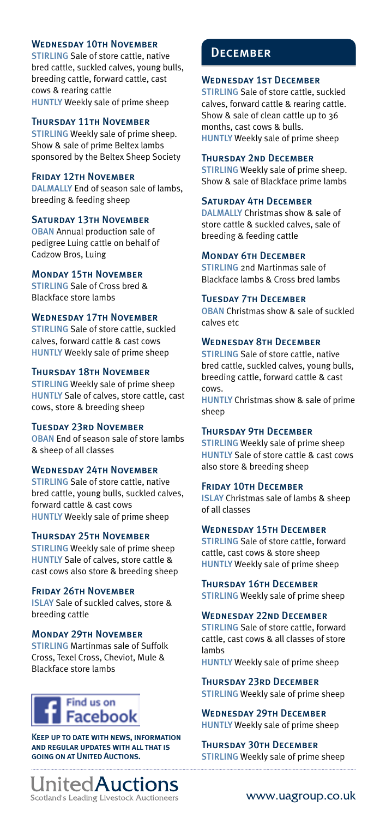#### WEDNESDAY 10TH NOVEMBER

STIRLING Sale of store cattle, native bred cattle, suckled calves, young bulls, breeding cattle, forward cattle, cast cows & rearing cattle HUNTLY Weekly sale of prime sheep

#### Thursday 11th November

STIRLING Weekly sale of prime sheep. Show & sale of prime Beltex lambs sponsored by the Beltex Sheep Society

#### Friday 12th November

DALMALLY End of season sale of lambs, breeding & feeding sheep

#### SATURDAY 13TH NOVEMBER

OBAN Annual production sale of pedigree Luing cattle on behalf of Cadzow Bros, Luing

#### Monday 15th November

STIRLING Sale of Cross bred & Blackface store lambs

#### WEDNESDAY 17TH NOVEMBER

STIRLING Sale of store cattle, suckled calves, forward cattle & cast cows HUNTLY Weekly sale of prime sheep

#### **THURSDAY 18TH NOVEMBER**

STIRLING Weekly sale of prime sheep HUNTLY Sale of calves, store cattle, cast cows, store & breeding sheep

#### Tuesday 23rd November

OBAN End of season sale of store lambs & sheep of all classes

#### Wednesday 24th November

STIRLING Sale of store cattle, native bred cattle, young bulls, suckled calves, forward cattle & cast cows HUNTLY Weekly sale of prime sheep

#### Thursday 25th November

STIRLING Weekly sale of prime sheep HUNTLY Sale of calves, store cattle & cast cows also store & breeding sheep

#### Friday 26th November

ISLAY Sale of suckled calves, store & breeding cattle

#### Monday 29th November

STIRLING Martinmas sale of Suffolk Cross, Texel Cross, Cheviot, Mule & Blackface store lambs

# Find us on Facebook

Keep up to date with news, information and regular updates with all that is going on at United Auctions.



### **DECEMBER**

#### WEDNESDAY 1ST DECEMBER

STIRLING Sale of store cattle, suckled calves, forward cattle & rearing cattle. Show & sale of clean cattle up to 36 months, cast cows & bulls. HUNTLY Weekly sale of prime sheep

#### Thursday 2nd December

STIRLING Weekly sale of prime sheep. Show & sale of Blackface prime lambs

#### Saturday 4th December

DALMALLY Christmas show & sale of store cattle & suckled calves, sale of breeding & feeding cattle

#### Monday 6th December

STIRLING 2nd Martinmas sale of Blackface lambs & Cross bred lambs

#### Tuesday 7th December

OBAN Christmas show & sale of suckled calves etc

#### Wednesday 8th December

STIRLING Sale of store cattle, native bred cattle, suckled calves, young bulls, breeding cattle, forward cattle & cast cows.

HUNTLY Christmas show & sale of prime sheep

#### Thursday 9th December

STIRLING Weekly sale of prime sheep HUNTLY Sale of store cattle & cast cows also store & breeding sheep

#### FRIDAY 10TH DECEMBER

ISLAY Christmas sale of lambs & sheep of all classes

#### WEDNESDAY 15TH DECEMBER

STIRLING Sale of store cattle, forward cattle, cast cows & store sheep HUNTLY Weekly sale of prime sheep

#### **THURSDAY 16TH DECEMBER**

STIRLING Weekly sale of prime sheep

#### WEDNESDAY 22ND DECEMBER

STIRLING Sale of store cattle, forward cattle, cast cows & all classes of store lambs

HUNTLY Weekly sale of prime sheep

#### Thursday 23rd December

STIRLING Weekly sale of prime sheep

Wednesday 29th December HUNTLY Weekly sale of prime sheep

#### Thursday 30th December

STIRLING Weekly sale of prime sheep

#### www.uagroup.co.uk